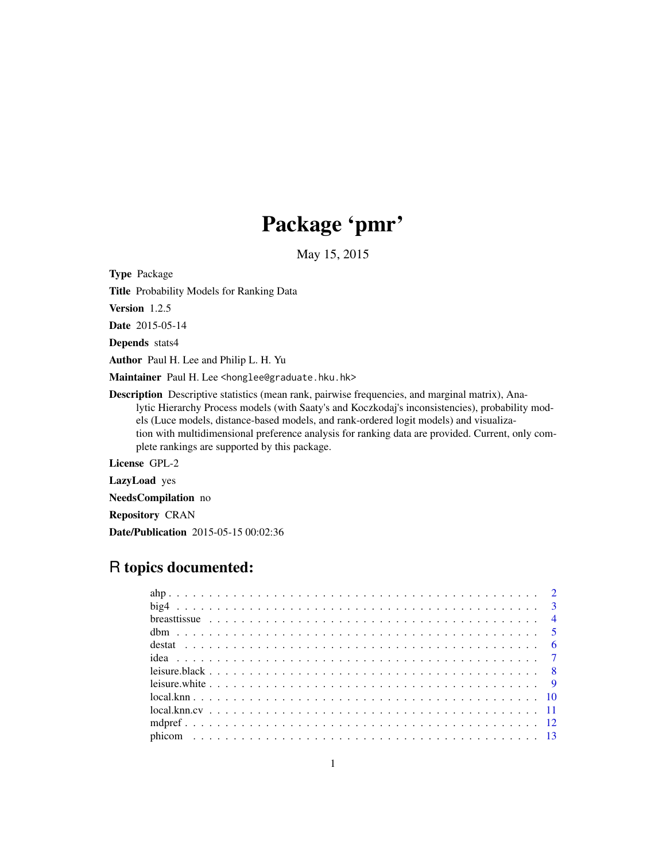# Package 'pmr'

May 15, 2015

Type Package

Title Probability Models for Ranking Data

Version 1.2.5

Date 2015-05-14

Depends stats4

Author Paul H. Lee and Philip L. H. Yu

Maintainer Paul H. Lee <honglee@graduate.hku.hk>

Description Descriptive statistics (mean rank, pairwise frequencies, and marginal matrix), Analytic Hierarchy Process models (with Saaty's and Koczkodaj's inconsistencies), probability models (Luce models, distance-based models, and rank-ordered logit models) and visualization with multidimensional preference analysis for ranking data are provided. Current, only complete rankings are supported by this package.

License GPL-2

LazyLoad yes

NeedsCompilation no

Repository CRAN

Date/Publication 2015-05-15 00:02:36

# R topics documented: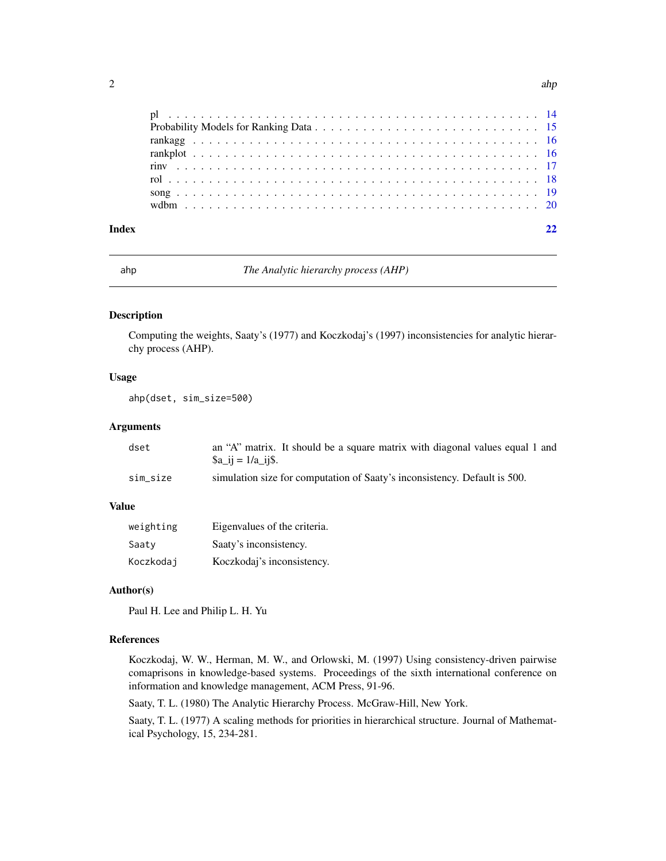<span id="page-1-0"></span>

ahp *The Analytic hierarchy process (AHP)*

#### Description

Computing the weights, Saaty's (1977) and Koczkodaj's (1997) inconsistencies for analytic hierarchy process (AHP).

# Usage

ahp(dset, sim\_size=500)

#### Arguments

| dset     | an "A" matrix. It should be a square matrix with diagonal values equal 1 and |
|----------|------------------------------------------------------------------------------|
|          | $a_{i}$ = $1/a_{i}$ ij \$.                                                   |
| sim size | simulation size for computation of Saaty's inconsistency. Default is 500.    |

# Value

| weighting | Eigenvalues of the criteria. |
|-----------|------------------------------|
| Saaty     | Saaty's inconsistency.       |
| Koczkodaj | Koczkodaj's inconsistency.   |

# Author(s)

Paul H. Lee and Philip L. H. Yu

# References

Koczkodaj, W. W., Herman, M. W., and Orlowski, M. (1997) Using consistency-driven pairwise comaprisons in knowledge-based systems. Proceedings of the sixth international conference on information and knowledge management, ACM Press, 91-96.

Saaty, T. L. (1980) The Analytic Hierarchy Process. McGraw-Hill, New York.

Saaty, T. L. (1977) A scaling methods for priorities in hierarchical structure. Journal of Mathematical Psychology, 15, 234-281.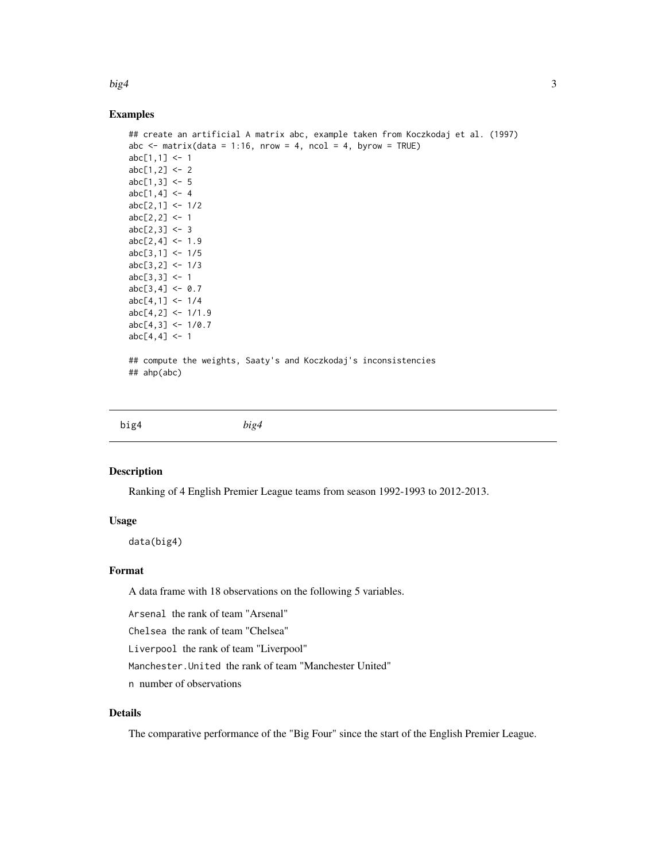#### <span id="page-2-0"></span> $big4$  3

# Examples

```
## create an artificial A matrix abc, example taken from Koczkodaj et al. (1997)
abc \le matrix(data = 1:16, nrow = 4, ncol = 4, byrow = TRUE)
abc[1,1] < -1abc[1,2] < -2abc[1,3] <- 5
abc[1,4] < -4abc[2,1] < -1/2abc[2,2] < -1abc[2,3] < -3abc[2,4] < -1.9abc[3,1] < -1/5abc[3,2] < -1/3abc[3,3] <- 1
abc[3,4] < -0.7abc[4,1] < -1/4abc[4,2] < -1/1.9abc[4,3] < -1/0.7abc[4,4] < -1## compute the weights, Saaty's and Koczkodaj's inconsistencies
## ahp(abc)
```
big4 *big4*

#### Description

Ranking of 4 English Premier League teams from season 1992-1993 to 2012-2013.

## Usage

data(big4)

#### Format

A data frame with 18 observations on the following 5 variables.

Arsenal the rank of team "Arsenal"

Chelsea the rank of team "Chelsea"

Liverpool the rank of team "Liverpool"

Manchester.United the rank of team "Manchester United"

n number of observations

# Details

The comparative performance of the "Big Four" since the start of the English Premier League.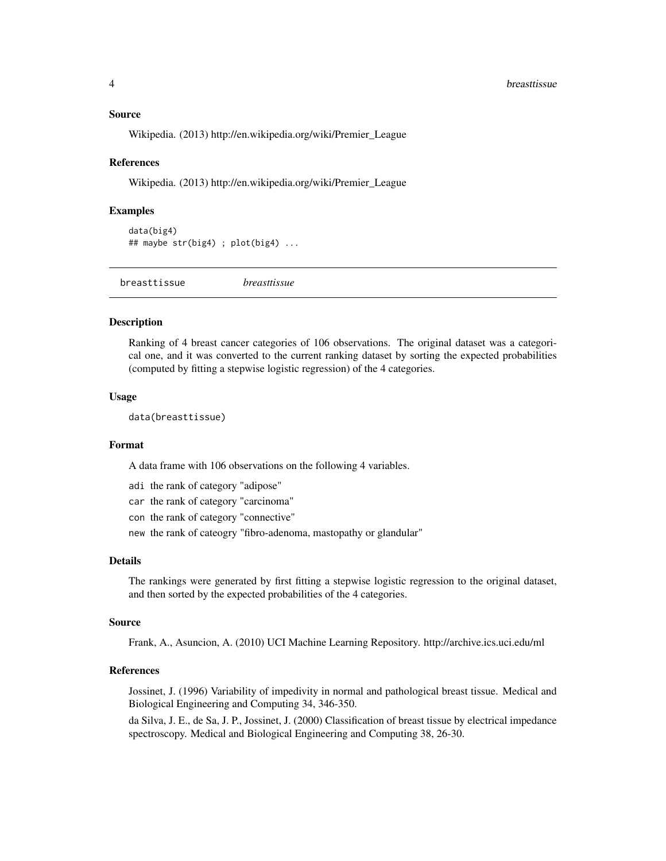#### <span id="page-3-0"></span>Source

Wikipedia. (2013) http://en.wikipedia.org/wiki/Premier\_League

#### References

Wikipedia. (2013) http://en.wikipedia.org/wiki/Premier\_League

#### Examples

```
data(big4)
## maybe str(big4) ; plot(big4) ...
```
breasttissue *breasttissue*

# **Description**

Ranking of 4 breast cancer categories of 106 observations. The original dataset was a categorical one, and it was converted to the current ranking dataset by sorting the expected probabilities (computed by fitting a stepwise logistic regression) of the 4 categories.

#### Usage

data(breasttissue)

#### Format

A data frame with 106 observations on the following 4 variables.

- adi the rank of category "adipose"
- car the rank of category "carcinoma"
- con the rank of category "connective"
- new the rank of cateogry "fibro-adenoma, mastopathy or glandular"

### Details

The rankings were generated by first fitting a stepwise logistic regression to the original dataset, and then sorted by the expected probabilities of the 4 categories.

#### Source

Frank, A., Asuncion, A. (2010) UCI Machine Learning Repository. http://archive.ics.uci.edu/ml

# References

Jossinet, J. (1996) Variability of impedivity in normal and pathological breast tissue. Medical and Biological Engineering and Computing 34, 346-350.

da Silva, J. E., de Sa, J. P., Jossinet, J. (2000) Classification of breast tissue by electrical impedance spectroscopy. Medical and Biological Engineering and Computing 38, 26-30.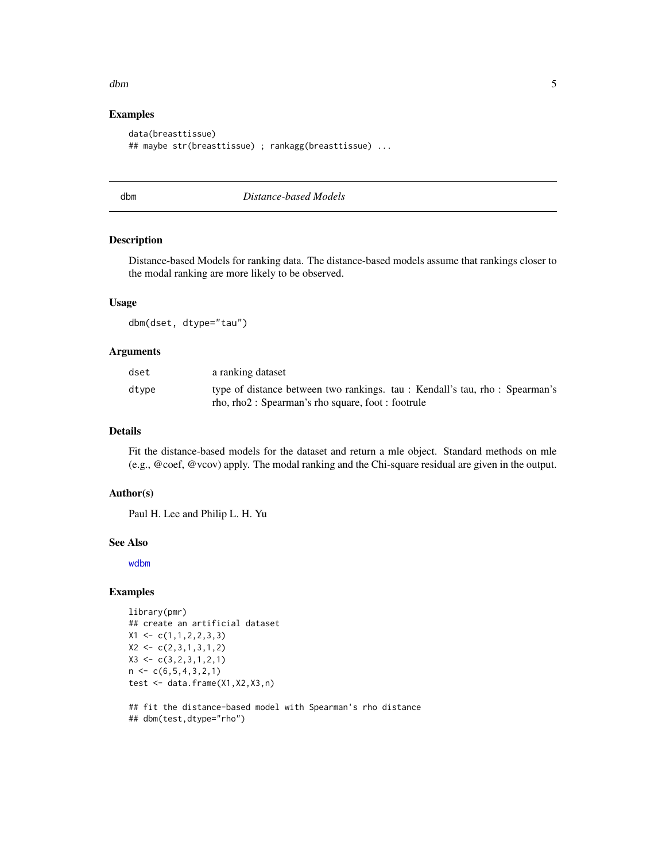#### <span id="page-4-0"></span>dbm 5

# Examples

```
data(breasttissue)
## maybe str(breasttissue) ; rankagg(breasttissue) ...
```
<span id="page-4-1"></span>

dbm *Distance-based Models*

# Description

Distance-based Models for ranking data. The distance-based models assume that rankings closer to the modal ranking are more likely to be observed.

# Usage

dbm(dset, dtype="tau")

# Arguments

| dset  | a ranking dataset                                                          |
|-------|----------------------------------------------------------------------------|
| dtype | type of distance between two rankings. tau: Kendall's tau, rho: Spearman's |
|       | rho, rho2 : Spearman's rho square, foot : footrule                         |

# Details

Fit the distance-based models for the dataset and return a mle object. Standard methods on mle (e.g., @coef, @vcov) apply. The modal ranking and the Chi-square residual are given in the output.

#### Author(s)

Paul H. Lee and Philip L. H. Yu

#### See Also

[wdbm](#page-19-1)

# Examples

```
library(pmr)
## create an artificial dataset
X1 \leftarrow c(1,1,2,2,3,3)X2 \leftarrow c(2,3,1,3,1,2)X3 \leq c(3,2,3,1,2,1)n \leq C(6, 5, 4, 3, 2, 1)test <- data.frame(X1,X2,X3,n)
```
## fit the distance-based model with Spearman's rho distance ## dbm(test,dtype="rho")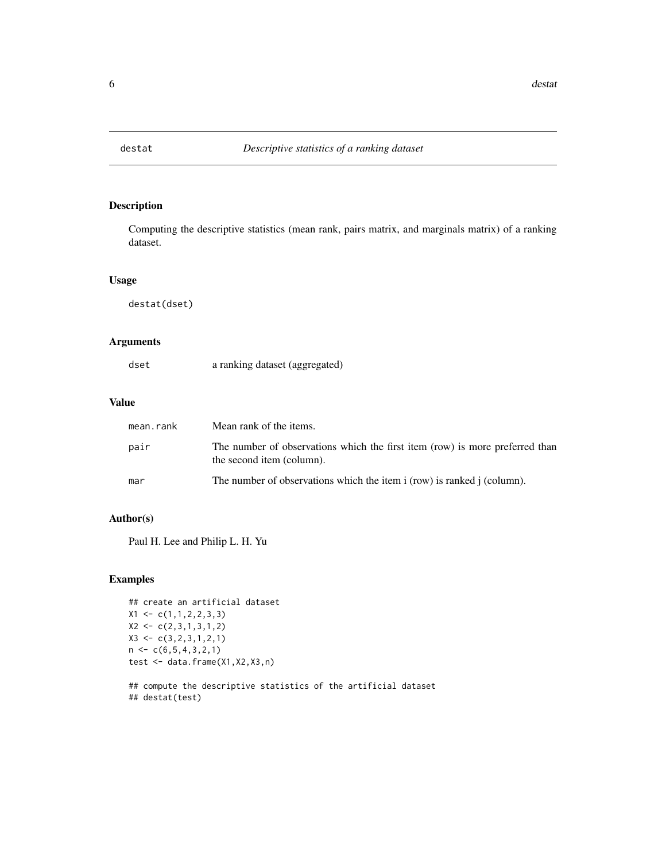<span id="page-5-0"></span>

Computing the descriptive statistics (mean rank, pairs matrix, and marginals matrix) of a ranking dataset.

# Usage

destat(dset)

# Arguments

| dset |  | a ranking dataset (aggregated) |
|------|--|--------------------------------|
|------|--|--------------------------------|

#### Value

| mean.rank | Mean rank of the items.                                                                                   |
|-----------|-----------------------------------------------------------------------------------------------------------|
| pair      | The number of observations which the first item (row) is more preferred than<br>the second item (column). |
| mar       | The number of observations which the item i (row) is ranked j (column).                                   |

# Author(s)

Paul H. Lee and Philip L. H. Yu

# Examples

```
## create an artificial dataset
X1 \leftarrow c(1,1,2,2,3,3)X2 \leftarrow c(2,3,1,3,1,2)X3 \leftarrow c(3, 2, 3, 1, 2, 1)n < -c(6, 5, 4, 3, 2, 1)test <- data.frame(X1,X2,X3,n)
## compute the descriptive statistics of the artificial dataset
```
## destat(test)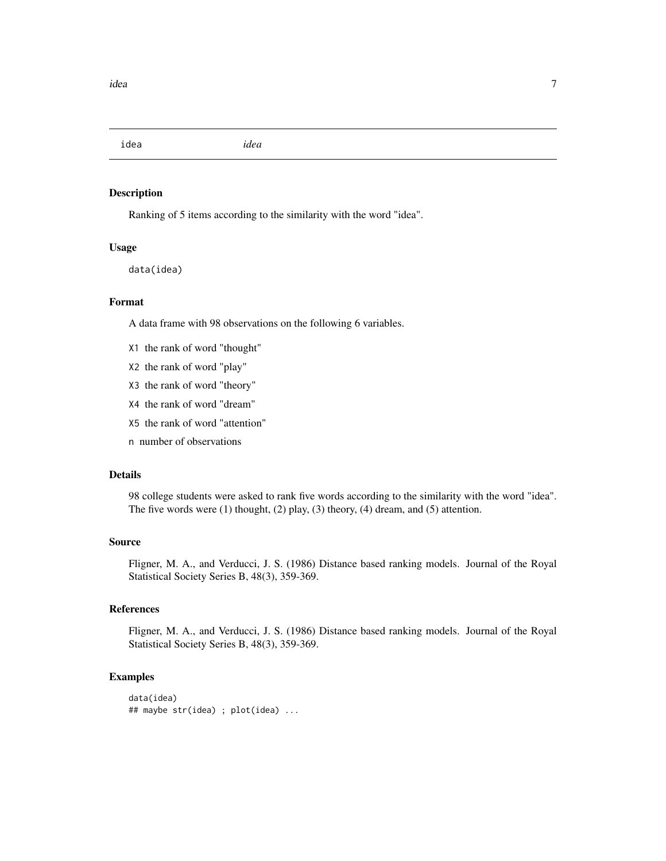<span id="page-6-0"></span>idea *idea*

# Description

Ranking of 5 items according to the similarity with the word "idea".

# Usage

data(idea)

# Format

A data frame with 98 observations on the following 6 variables.

- X1 the rank of word "thought"
- X2 the rank of word "play"
- X3 the rank of word "theory"
- X4 the rank of word "dream"
- X5 the rank of word "attention"
- n number of observations

# Details

98 college students were asked to rank five words according to the similarity with the word "idea". The five words were (1) thought, (2) play, (3) theory, (4) dream, and (5) attention.

#### Source

Fligner, M. A., and Verducci, J. S. (1986) Distance based ranking models. Journal of the Royal Statistical Society Series B, 48(3), 359-369.

# References

Fligner, M. A., and Verducci, J. S. (1986) Distance based ranking models. Journal of the Royal Statistical Society Series B, 48(3), 359-369.

#### Examples

```
data(idea)
## maybe str(idea) ; plot(idea) ...
```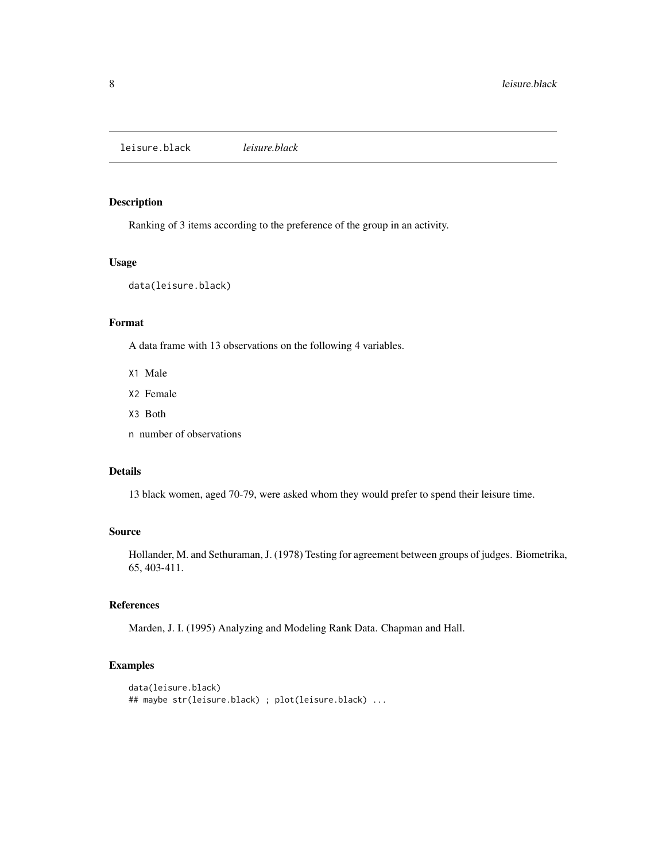<span id="page-7-0"></span>leisure.black *leisure.black*

# Description

Ranking of 3 items according to the preference of the group in an activity.

# Usage

data(leisure.black)

# Format

A data frame with 13 observations on the following 4 variables.

- X1 Male
- X2 Female
- X3 Both
- n number of observations

# Details

13 black women, aged 70-79, were asked whom they would prefer to spend their leisure time.

# Source

Hollander, M. and Sethuraman, J. (1978) Testing for agreement between groups of judges. Biometrika, 65, 403-411.

# References

Marden, J. I. (1995) Analyzing and Modeling Rank Data. Chapman and Hall.

# Examples

```
data(leisure.black)
## maybe str(leisure.black) ; plot(leisure.black) ...
```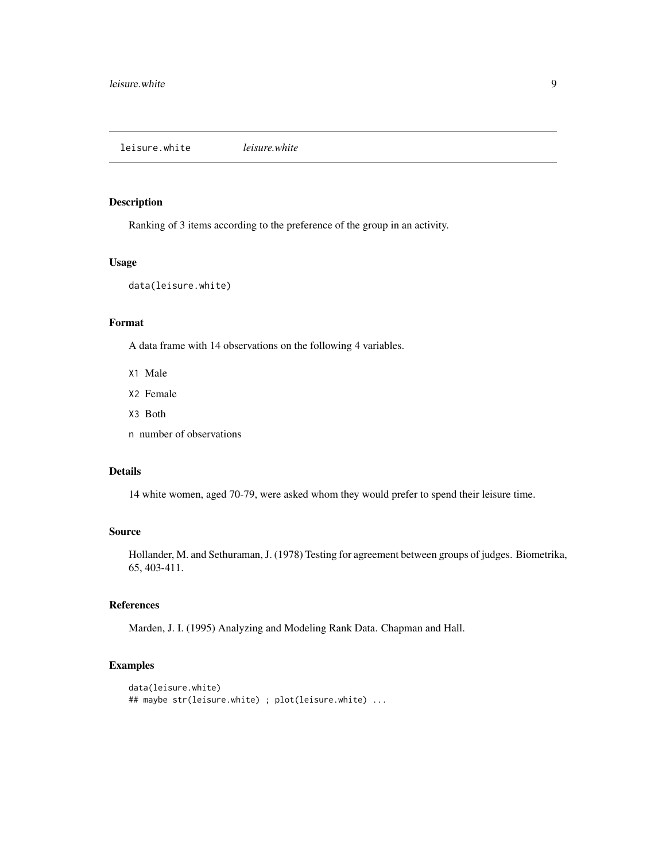<span id="page-8-0"></span>leisure.white *leisure.white*

# Description

Ranking of 3 items according to the preference of the group in an activity.

# Usage

data(leisure.white)

# Format

A data frame with 14 observations on the following 4 variables.

- X1 Male
- X2 Female
- X3 Both
- n number of observations

# Details

14 white women, aged 70-79, were asked whom they would prefer to spend their leisure time.

# Source

Hollander, M. and Sethuraman, J. (1978) Testing for agreement between groups of judges. Biometrika, 65, 403-411.

# References

Marden, J. I. (1995) Analyzing and Modeling Rank Data. Chapman and Hall.

# Examples

```
data(leisure.white)
## maybe str(leisure.white) ; plot(leisure.white) ...
```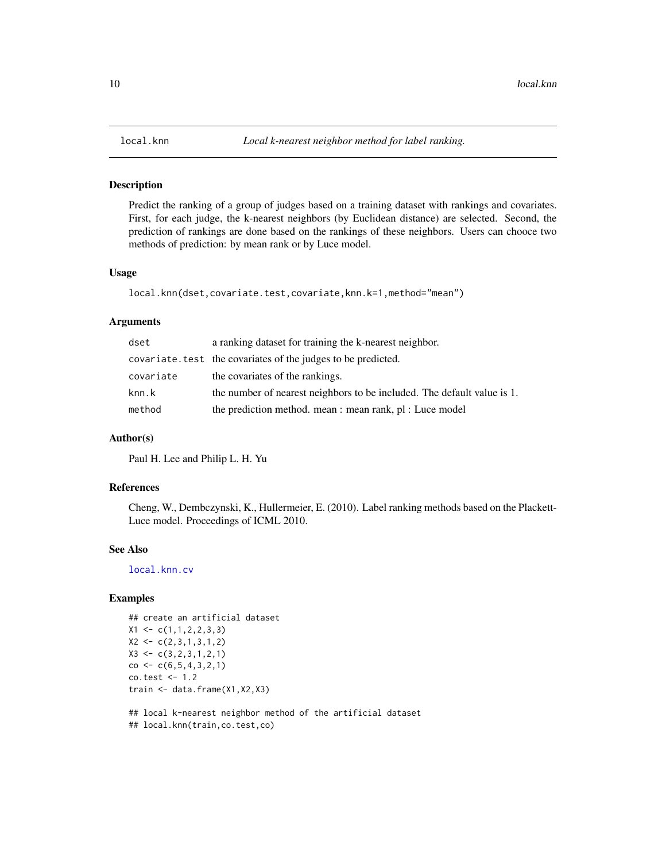<span id="page-9-1"></span><span id="page-9-0"></span>

Predict the ranking of a group of judges based on a training dataset with rankings and covariates. First, for each judge, the k-nearest neighbors (by Euclidean distance) are selected. Second, the prediction of rankings are done based on the rankings of these neighbors. Users can chooce two methods of prediction: by mean rank or by Luce model.

#### Usage

```
local.knn(dset,covariate.test,covariate,knn.k=1,method="mean")
```
# Arguments

| dset      | a ranking dataset for training the k-nearest neighbor.                  |
|-----------|-------------------------------------------------------------------------|
|           | covariate. test the covariates of the judges to be predicted.           |
| covariate | the covariates of the rankings.                                         |
| knn.k     | the number of nearest neighbors to be included. The default value is 1. |
| method    | the prediction method. mean : mean rank, pl : Luce model                |

#### Author(s)

Paul H. Lee and Philip L. H. Yu

#### References

Cheng, W., Dembczynski, K., Hullermeier, E. (2010). Label ranking methods based on the Plackett-Luce model. Proceedings of ICML 2010.

# See Also

[local.knn.cv](#page-10-1)

# Examples

```
## create an artificial dataset
X1 \leftarrow c(1,1,2,2,3,3)X2 \leftarrow c(2,3,1,3,1,2)X3 \leq c(3,2,3,1,2,1)co < -c(6, 5, 4, 3, 2, 1)co.test <- 1.2
train <- data.frame(X1,X2,X3)
```
## local k-nearest neighbor method of the artificial dataset ## local.knn(train,co.test,co)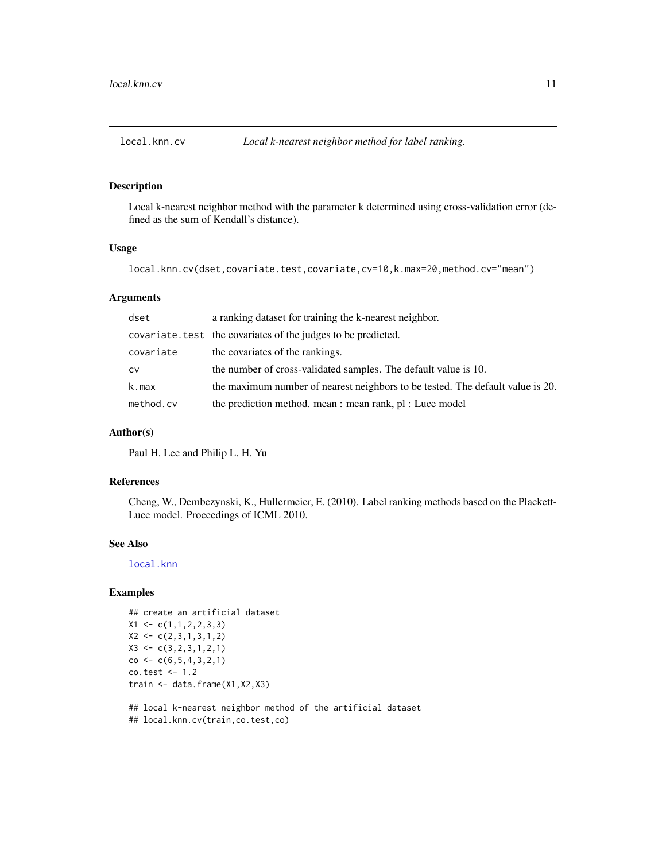<span id="page-10-1"></span><span id="page-10-0"></span>

Local k-nearest neighbor method with the parameter k determined using cross-validation error (defined as the sum of Kendall's distance).

#### Usage

local.knn.cv(dset,covariate.test,covariate,cv=10,k.max=20,method.cv="mean")

#### Arguments

| dset      | a ranking dataset for training the k-nearest neighbor.                         |
|-----------|--------------------------------------------------------------------------------|
|           | covariate. test the covariates of the judges to be predicted.                  |
| covariate | the covariates of the rankings.                                                |
| CV        | the number of cross-validated samples. The default value is 10.                |
| k.max     | the maximum number of nearest neighbors to be tested. The default value is 20. |
| method.cv | the prediction method. mean : mean rank, pl : Luce model                       |

#### Author(s)

Paul H. Lee and Philip L. H. Yu

# References

Cheng, W., Dembczynski, K., Hullermeier, E. (2010). Label ranking methods based on the Plackett-Luce model. Proceedings of ICML 2010.

# See Also

[local.knn](#page-9-1)

# Examples

```
## create an artificial dataset
X1 \leftarrow c(1,1,2,2,3,3)X2 \leq c(2,3,1,3,1,2)X3 \leftarrow c(3, 2, 3, 1, 2, 1)co \leftarrow c(6, 5, 4, 3, 2, 1)co.test <- 1.2
train <- data.frame(X1,X2,X3)
```
## local k-nearest neighbor method of the artificial dataset ## local.knn.cv(train,co.test,co)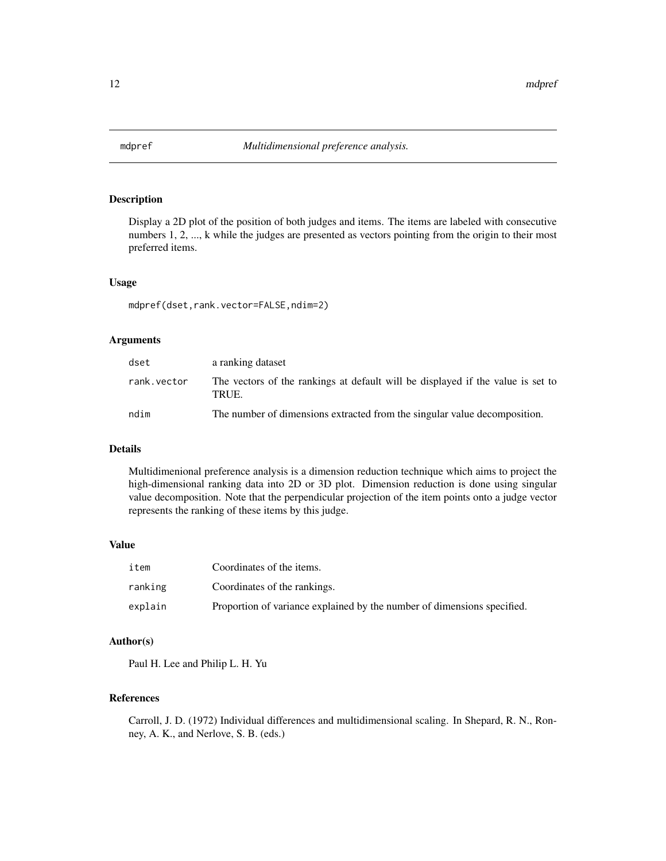<span id="page-11-0"></span>

Display a 2D plot of the position of both judges and items. The items are labeled with consecutive numbers 1, 2, ..., k while the judges are presented as vectors pointing from the origin to their most preferred items.

# Usage

mdpref(dset,rank.vector=FALSE,ndim=2)

# Arguments

| dset        | a ranking dataset                                                                        |
|-------------|------------------------------------------------------------------------------------------|
| rank.vector | The vectors of the rankings at default will be displayed if the value is set to<br>TRUE. |
| ndim        | The number of dimensions extracted from the singular value decomposition.                |

#### Details

Multidimenional preference analysis is a dimension reduction technique which aims to project the high-dimensional ranking data into 2D or 3D plot. Dimension reduction is done using singular value decomposition. Note that the perpendicular projection of the item points onto a judge vector represents the ranking of these items by this judge.

#### Value

| item    | Coordinates of the items.                                               |
|---------|-------------------------------------------------------------------------|
| ranking | Coordinates of the rankings.                                            |
| explain | Proportion of variance explained by the number of dimensions specified. |

# Author(s)

Paul H. Lee and Philip L. H. Yu

# References

Carroll, J. D. (1972) Individual differences and multidimensional scaling. In Shepard, R. N., Ronney, A. K., and Nerlove, S. B. (eds.)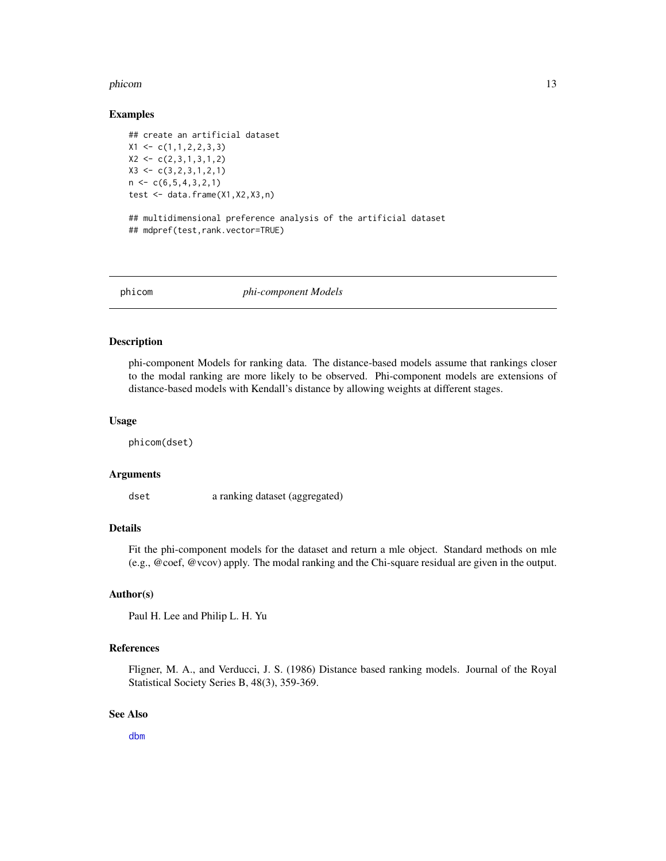#### <span id="page-12-0"></span>phicom and the state of the state of the state of the state of the state of the state of the state of the state of the state of the state of the state of the state of the state of the state of the state of the state of the

#### Examples

```
## create an artificial dataset
X1 \leftarrow c(1,1,2,2,3,3)X2 \leftarrow c(2,3,1,3,1,2)X3 \leftarrow c(3, 2, 3, 1, 2, 1)n \leq c(6,5,4,3,2,1)test <- data.frame(X1,X2,X3,n)
## multidimensional preference analysis of the artificial dataset
## mdpref(test,rank.vector=TRUE)
```
phicom *phi-component Models*

#### Description

phi-component Models for ranking data. The distance-based models assume that rankings closer to the modal ranking are more likely to be observed. Phi-component models are extensions of distance-based models with Kendall's distance by allowing weights at different stages.

#### Usage

phicom(dset)

#### Arguments

dset a ranking dataset (aggregated)

# Details

Fit the phi-component models for the dataset and return a mle object. Standard methods on mle (e.g., @coef, @vcov) apply. The modal ranking and the Chi-square residual are given in the output.

#### Author(s)

Paul H. Lee and Philip L. H. Yu

#### References

Fligner, M. A., and Verducci, J. S. (1986) Distance based ranking models. Journal of the Royal Statistical Society Series B, 48(3), 359-369.

#### See Also

[dbm](#page-4-1)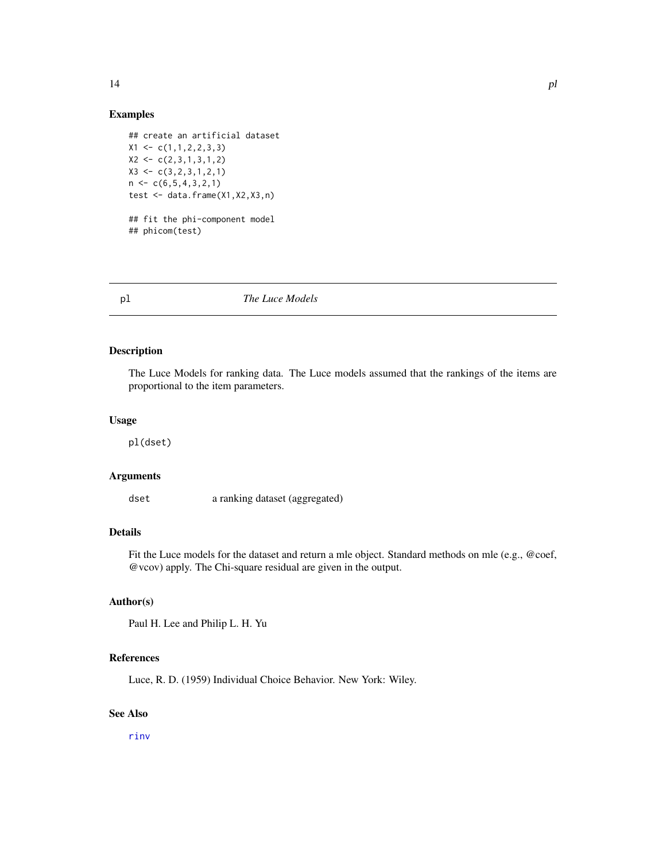# Examples

```
## create an artificial dataset
X1 \leftarrow c(1,1,2,2,3,3)X2 \leftarrow c(2,3,1,3,1,2)X3 \leftarrow c(3, 2, 3, 1, 2, 1)n \leq c(6,5,4,3,2,1)test <- data.frame(X1,X2,X3,n)
## fit the phi-component model
## phicom(test)
```
<span id="page-13-1"></span>pl *The Luce Models*

# Description

The Luce Models for ranking data. The Luce models assumed that the rankings of the items are proportional to the item parameters.

### Usage

pl(dset)

#### Arguments

dset a ranking dataset (aggregated)

# Details

Fit the Luce models for the dataset and return a mle object. Standard methods on mle (e.g., @coef, @vcov) apply. The Chi-square residual are given in the output.

# Author(s)

Paul H. Lee and Philip L. H. Yu

# References

Luce, R. D. (1959) Individual Choice Behavior. New York: Wiley.

# See Also

[rinv](#page-16-1)

<span id="page-13-0"></span>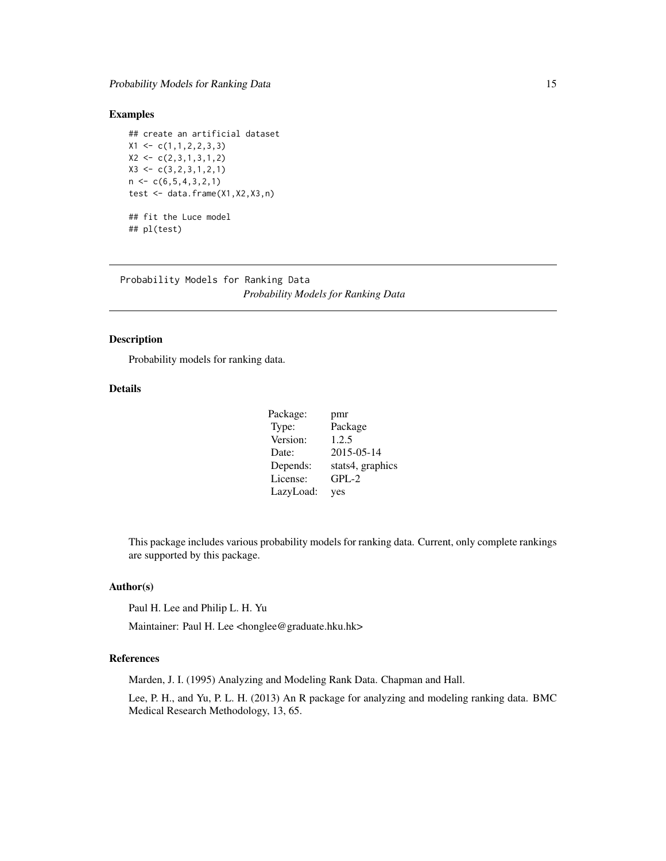# <span id="page-14-0"></span>Examples

## create an artificial dataset  $X1 \leftarrow c(1,1,2,2,3,3)$  $X2 \leq c(2,3,1,3,1,2)$  $X3 \leftarrow c(3, 2, 3, 1, 2, 1)$  $n \leftarrow c(6, 5, 4, 3, 2, 1)$ test <- data.frame(X1,X2,X3,n) ## fit the Luce model ## pl(test)

Probability Models for Ranking Data *Probability Models for Ranking Data*

# Description

Probability models for ranking data.

# Details

| Package:  | pmr              |
|-----------|------------------|
| Type:     | Package          |
| Version:  | 1.2.5            |
| Date:     | 2015-05-14       |
| Depends:  | stats4, graphics |
| License:  | $GPL-2$          |
| LazyLoad: | yes              |

This package includes various probability models for ranking data. Current, only complete rankings are supported by this package.

# Author(s)

Paul H. Lee and Philip L. H. Yu

Maintainer: Paul H. Lee <honglee@graduate.hku.hk>

# References

Marden, J. I. (1995) Analyzing and Modeling Rank Data. Chapman and Hall.

Lee, P. H., and Yu, P. L. H. (2013) An R package for analyzing and modeling ranking data. BMC Medical Research Methodology, 13, 65.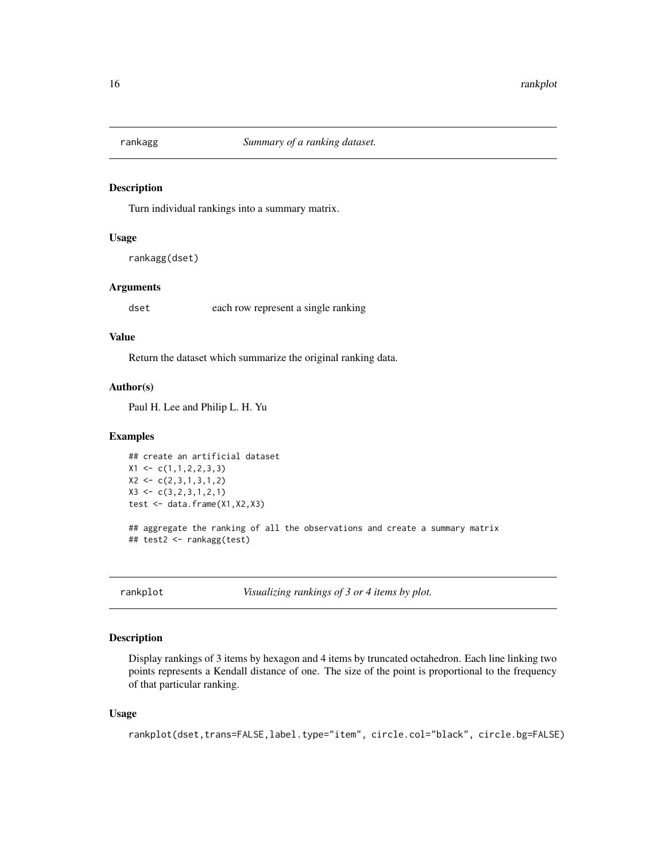<span id="page-15-0"></span>

Turn individual rankings into a summary matrix.

### Usage

rankagg(dset)

# Arguments

dset each row represent a single ranking

# Value

Return the dataset which summarize the original ranking data.

#### Author(s)

Paul H. Lee and Philip L. H. Yu

# Examples

```
## create an artificial dataset
X1 \leftarrow c(1,1,2,2,3,3)X2 \leftarrow c(2,3,1,3,1,2)X3 \leftarrow c(3, 2, 3, 1, 2, 1)test <- data.frame(X1,X2,X3)
## aggregate the ranking of all the observations and create a summary matrix
## test2 <- rankagg(test)
```
rankplot *Visualizing rankings of 3 or 4 items by plot.*

#### Description

Display rankings of 3 items by hexagon and 4 items by truncated octahedron. Each line linking two points represents a Kendall distance of one. The size of the point is proportional to the frequency of that particular ranking.

#### Usage

rankplot(dset,trans=FALSE,label.type="item", circle.col="black", circle.bg=FALSE)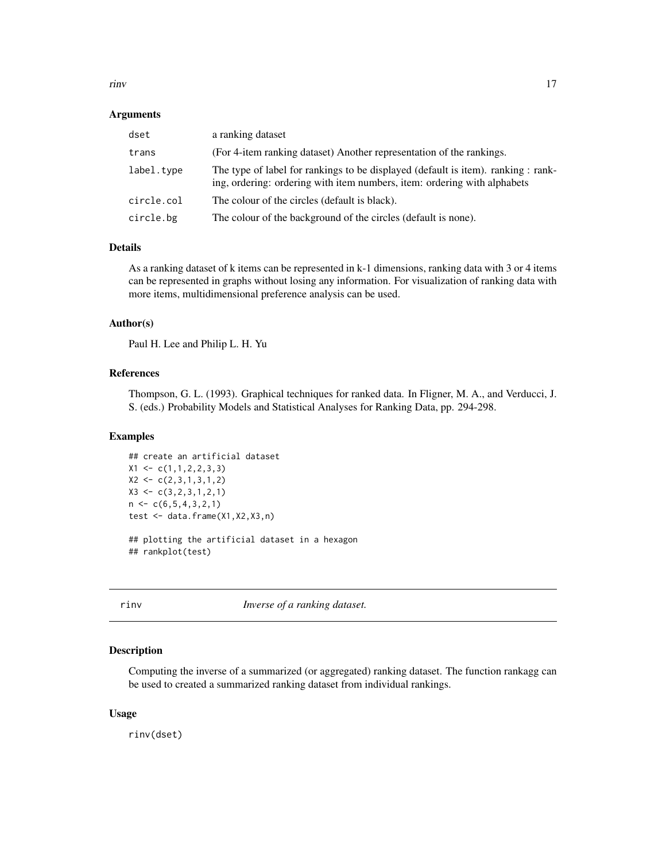<span id="page-16-0"></span>rinv 17

#### Arguments

| dset       | a ranking dataset                                                                                                                                             |
|------------|---------------------------------------------------------------------------------------------------------------------------------------------------------------|
| trans      | (For 4-item ranking dataset) Another representation of the rankings.                                                                                          |
| label.type | The type of label for rankings to be displayed (default is item). ranking : rank-<br>ing, ordering: ordering with item numbers, item: ordering with alphabets |
| circle.col | The colour of the circles (default is black).                                                                                                                 |
| circle.bg  | The colour of the background of the circles (default is none).                                                                                                |

# Details

As a ranking dataset of k items can be represented in k-1 dimensions, ranking data with 3 or 4 items can be represented in graphs without losing any information. For visualization of ranking data with more items, multidimensional preference analysis can be used.

#### Author(s)

Paul H. Lee and Philip L. H. Yu

#### References

Thompson, G. L. (1993). Graphical techniques for ranked data. In Fligner, M. A., and Verducci, J. S. (eds.) Probability Models and Statistical Analyses for Ranking Data, pp. 294-298.

# Examples

```
## create an artificial dataset
X1 \leftarrow c(1,1,2,2,3,3)X2 \leftarrow c(2,3,1,3,1,2)X3 \leftarrow c(3, 2, 3, 1, 2, 1)n \leq c(6,5,4,3,2,1)test \leq data.frame(X1, X2, X3, n)## plotting the artificial dataset in a hexagon
```
## rankplot(test)

<span id="page-16-1"></span>rinv *Inverse of a ranking dataset.*

#### Description

Computing the inverse of a summarized (or aggregated) ranking dataset. The function rankagg can be used to created a summarized ranking dataset from individual rankings.

#### Usage

rinv(dset)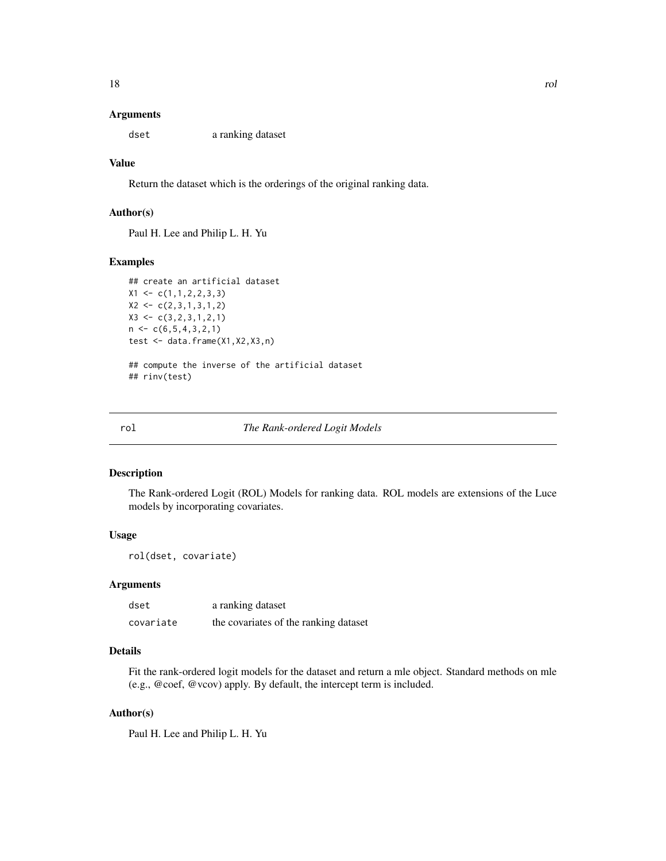#### <span id="page-17-0"></span>Arguments

dset a ranking dataset

#### Value

Return the dataset which is the orderings of the original ranking data.

# Author(s)

Paul H. Lee and Philip L. H. Yu

# Examples

```
## create an artificial dataset
X1 \leftarrow c(1, 1, 2, 2, 3, 3)X2 \leftarrow c(2,3,1,3,1,2)X3 \leftarrow c(3, 2, 3, 1, 2, 1)n \leq C(6, 5, 4, 3, 2, 1)test <- data.frame(X1,X2,X3,n)
```

```
## compute the inverse of the artificial dataset
## rinv(test)
```
rol *The Rank-ordered Logit Models*

# Description

The Rank-ordered Logit (ROL) Models for ranking data. ROL models are extensions of the Luce models by incorporating covariates.

# Usage

rol(dset, covariate)

# **Arguments**

| dset      | a ranking dataset                     |
|-----------|---------------------------------------|
| covariate | the covariates of the ranking dataset |

# Details

Fit the rank-ordered logit models for the dataset and return a mle object. Standard methods on mle (e.g., @coef, @vcov) apply. By default, the intercept term is included.

# Author(s)

Paul H. Lee and Philip L. H. Yu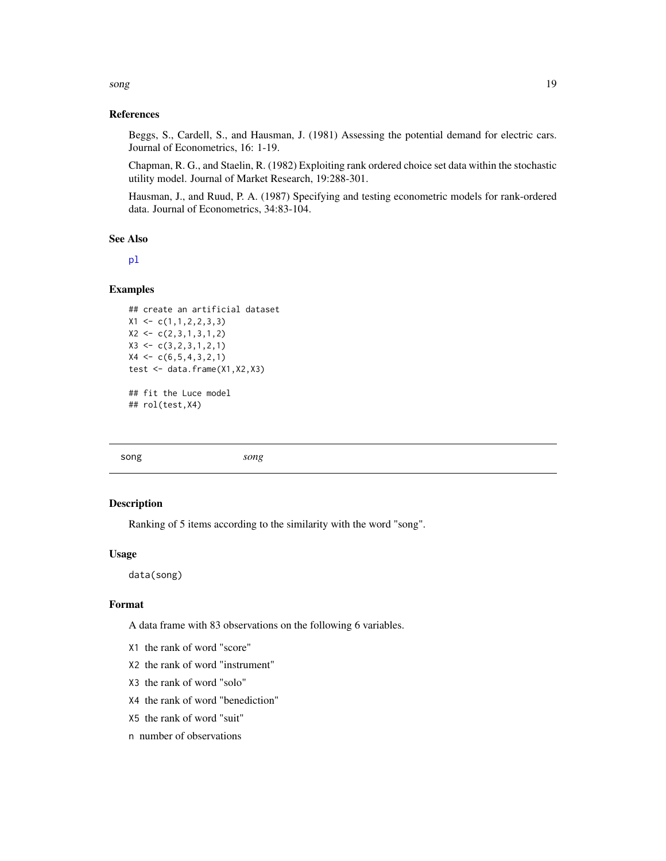<span id="page-18-0"></span>song the state of the state of the state of the state of the state of the state of the state of the state of the state of the state of the state of the state of the state of the state of the state of the state of the state

## References

Beggs, S., Cardell, S., and Hausman, J. (1981) Assessing the potential demand for electric cars. Journal of Econometrics, 16: 1-19.

Chapman, R. G., and Staelin, R. (1982) Exploiting rank ordered choice set data within the stochastic utility model. Journal of Market Research, 19:288-301.

Hausman, J., and Ruud, P. A. (1987) Specifying and testing econometric models for rank-ordered data. Journal of Econometrics, 34:83-104.

# See Also

[pl](#page-13-1)

#### Examples

```
## create an artificial dataset
X1 \leftarrow c(1,1,2,2,3,3)X2 \leftarrow c(2,3,1,3,1,2)X3 \leftarrow c(3, 2, 3, 1, 2, 1)X4 \leftarrow c(6, 5, 4, 3, 2, 1)test <- data.frame(X1,X2,X3)
## fit the Luce model
## rol(test,X4)
```
song *song*

#### Description

Ranking of 5 items according to the similarity with the word "song".

#### Usage

data(song)

# Format

A data frame with 83 observations on the following 6 variables.

- X1 the rank of word "score"
- X2 the rank of word "instrument"
- X3 the rank of word "solo"
- X4 the rank of word "benediction"
- X5 the rank of word "suit"
- n number of observations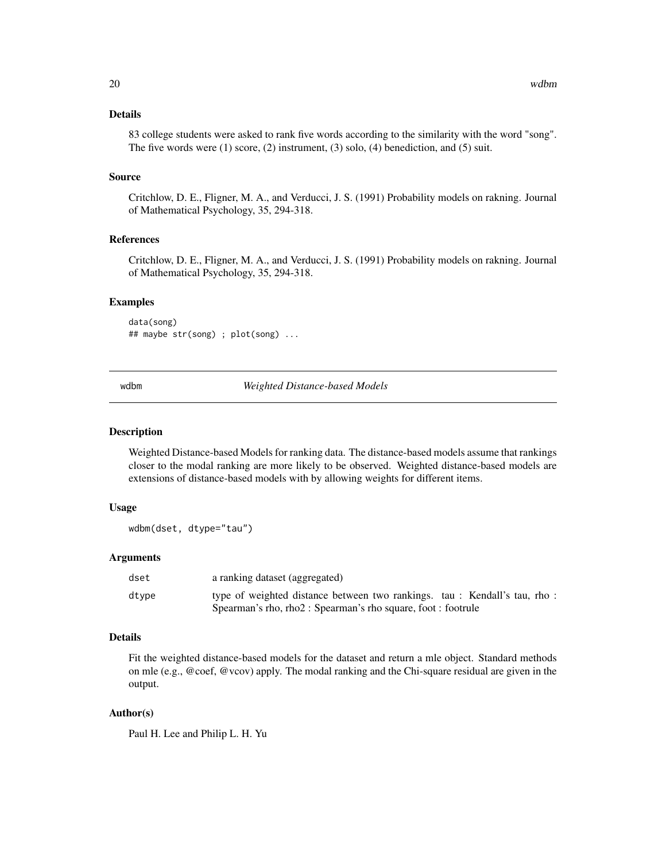# <span id="page-19-0"></span>Details

83 college students were asked to rank five words according to the similarity with the word "song". The five words were (1) score, (2) instrument, (3) solo, (4) benediction, and (5) suit.

#### Source

Critchlow, D. E., Fligner, M. A., and Verducci, J. S. (1991) Probability models on rakning. Journal of Mathematical Psychology, 35, 294-318.

# References

Critchlow, D. E., Fligner, M. A., and Verducci, J. S. (1991) Probability models on rakning. Journal of Mathematical Psychology, 35, 294-318.

#### Examples

```
data(song)
## maybe str(song) ; plot(song) ...
```
<span id="page-19-1"></span>wdbm *Weighted Distance-based Models*

#### Description

Weighted Distance-based Models for ranking data. The distance-based models assume that rankings closer to the modal ranking are more likely to be observed. Weighted distance-based models are extensions of distance-based models with by allowing weights for different items.

# Usage

wdbm(dset, dtype="tau")

#### Arguments

| dset  | a ranking dataset (aggregated)                                                                                                            |
|-------|-------------------------------------------------------------------------------------------------------------------------------------------|
| dtype | type of weighted distance between two rankings. tau: Kendall's tau, rho:<br>Spearman's rho, rho2 : Spearman's rho square, foot : footrule |

#### Details

Fit the weighted distance-based models for the dataset and return a mle object. Standard methods on mle (e.g., @coef, @vcov) apply. The modal ranking and the Chi-square residual are given in the output.

# Author(s)

Paul H. Lee and Philip L. H. Yu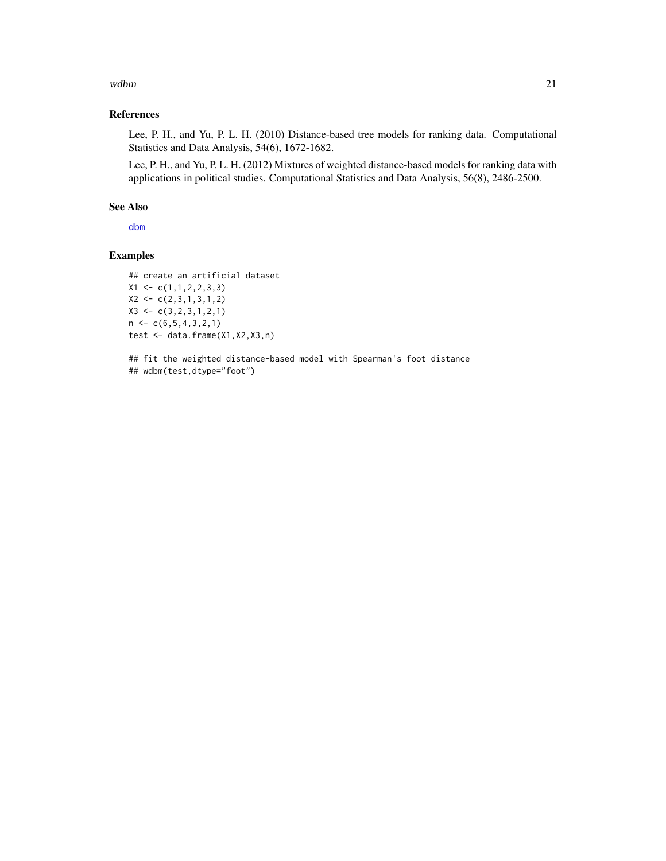#### <span id="page-20-0"></span> $wdbm$  21

# References

Lee, P. H., and Yu, P. L. H. (2010) Distance-based tree models for ranking data. Computational Statistics and Data Analysis, 54(6), 1672-1682.

Lee, P. H., and Yu, P. L. H. (2012) Mixtures of weighted distance-based models for ranking data with applications in political studies. Computational Statistics and Data Analysis, 56(8), 2486-2500.

# See Also

[dbm](#page-4-1)

# Examples

```
## create an artificial dataset
X1 \leftarrow c(1,1,2,2,3,3)X2 \leftarrow c(2,3,1,3,1,2)X3 \leftarrow c(3, 2, 3, 1, 2, 1)n < -c(6, 5, 4, 3, 2, 1)test <- data.frame(X1,X2,X3,n)
```
## fit the weighted distance-based model with Spearman's foot distance ## wdbm(test,dtype="foot")